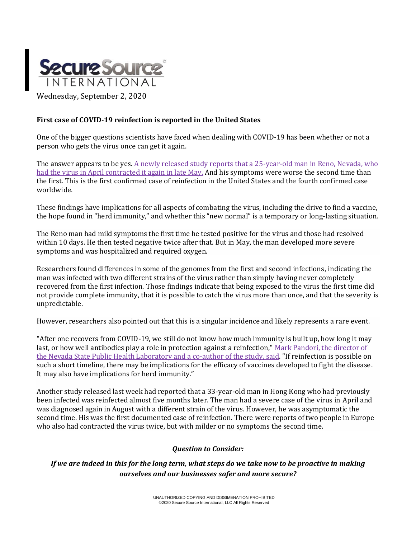

# **First case of COVID-19 reinfection is reported in the United States**

One of the bigger questions scientists have faced when dealing with COVID-19 has been whether or not a person who gets the virus once can get it again.

The answer appears to be yes. A newly released study reports that a 25-year-old man in Reno, Nevada, who [had the virus in April contracted it again in late May.](https://papers.ssrn.com/sol3/papers.cfm?abstract_id=3681489) And his symptoms were worse the second time than the first. This is the first confirmed case of reinfection in the United States and the fourth confirmed case worldwide.

These findings have implications for all aspects of combating the virus, including the drive to find a vaccine, the hope found in "herd immunity," and whether this "new normal" is a temporary or long-lasting situation.

The Reno man had mild symptoms the first time he tested positive for the virus and those had resolved within 10 days. He then tested negative twice after that. But in May, the man developed more severe symptoms and was hospitalized and required oxygen.

Researchers found differences in some of the genomes from the first and second infections, indicating the man was infected with two different strains of the virus rather than simply having never completely recovered from the first infection. Those findings indicate that being exposed to the virus the first time did not provide complete immunity, that it is possible to catch the virus more than once, and that the severity is unpredictable.

However, researchers also pointed out that this is a singular incidence and likely represents a rare event.

"After one recovers from COVID-19, we still do not know how much immunity is built up, how long it may last, or how well antibodies play a role in protection against a reinfection," Mark Pandori, the director of [the Nevada State Public Health Laboratory](https://www.unr.edu/nevada-today/news/2020/covid-reinfection-study) and a co-author of the study, said. "If reinfection is possible on such a short timeline, there may be implications for the efficacy of vaccines developed to fight the disease. It may also have implications for herd immunity."

Another study released last week had reported that a 33-year-old man in Hong Kong who had previously been infected was reinfected almost five months later. The man had a severe case of the virus in April and was diagnosed again in August with a different strain of the virus. However, he was asymptomatic the second time. His was the first documented case of reinfection. There were reports of two people in Europe who also had contracted the virus twice, but with milder or no symptoms the second time.

#### *Question to Consider:*

*If we are indeed in this for the long term, what steps do we take now to be proactive in making ourselves and our businesses safer and more secure?*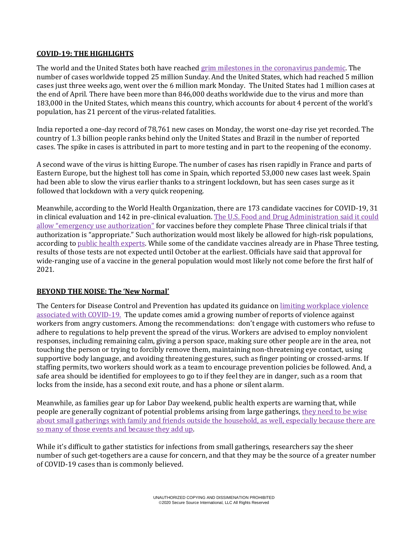### **COVID-19: THE HIGHLIGHTS**

The world and the United States both have reached [grim milestones in the coronavirus pandemic.](https://www.usatoday.com/story/news/health/2020/08/31/covid-19-news-us-6-million-cases-india-us-open/5676058002/) The number of cases worldwide topped 25 million Sunday. And the United States, which had reached 5 million cases just three weeks ago, went over the 6 million mark Monday. The United States had 1 million cases at the end of April. There have been more than 846,000 deaths worldwide due to the virus and more than 183,000 in the United States, which means this country, which accounts for about 4 percent of the world's population, has 21 percent of the virus-related fatalities.

India reported a one-day record of 78,761 new cases on Monday, the worst one-day rise yet recorded. The country of 1.3 billion people ranks behind only the United States and Brazil in the number of reported cases. The spike in cases is attributed in part to more testing and in part to the reopening of the economy.

A second wave of the virus is hitting Europe. The number of cases has risen rapidly in France and parts of Eastern Europe, but the highest toll has come in Spain, which reported 53,000 new cases last week. Spain had been able to slow the virus earlier thanks to a stringent lockdown, but has seen cases surge as it followed that lockdown with a very quick reopening.

Meanwhile, according to the World Health Organization, there are 173 candidate vaccines for COVID-19, 31 in clinical evaluation and 142 in pre-clinical evaluation. The [U.S. Food and Drug Administration said it could](https://www.ft.com/content/f8ecf7b5-f8d2-4726-ba3f-233b8497b91a) [allow "emergency use authorization"](https://www.ft.com/content/f8ecf7b5-f8d2-4726-ba3f-233b8497b91a) for vaccines before they complete Phase Three clinical trials if that authorization is "appropriate." Such authorization would most likely be allowed for high-risk populations, according t[o public health experts.](https://www.cbsnews.com/news/transcript-scott-gottlieb-discusses-coronavirus-on-face-the-nation-august-30-2020/) While some of the candidate vaccines already are in Phase Three testing, results of those tests are not expected until October at the earliest. Officials have said that approval for wide-ranging use of a vaccine in the general population would most likely not come before the first half of 2021.

# **BEYOND THE NOISE: The 'New Normal'**

The Centers for Disease Control and Prevention has updated its guidance on limiting workplace violence [associated with COVID-19.](https://www.cdc.gov/coronavirus/2019-ncov/community/organizations/business-employers/limit-workplace-violence.html) The update comes amid a growing number of reports of violence against workers from angry customers. Among the recommendations: don't engage with customers who refuse to adhere to regulations to help prevent the spread of the virus. Workers are advised to employ nonviolent responses, including remaining calm, giving a person space, making sure other people are in the area, not touching the person or trying to forcibly remove them, maintaining non-threatening eye contact, using supportive body language, and avoiding threatening gestures, such as finger pointing or crossed-arms. If staffing permits, two workers should work as a team to encourage prevention policies be followed. And, a safe area should be identified for employees to go to if they feel they are in danger, such as a room that locks from the inside, has a second exit route, and has a phone or silent alarm.

Meanwhile, as families gear up for Labor Day weekend, public health experts are warning that, while people are generally cognizant of potential problems arising from large gatherings[, they need to be wise](https://www.usatoday.com/story/news/nation/2020/08/30/covid-19-small-gatherings-quietly-significant-source-infections/5650677002/)  about small gatherings with family and friends [outside the household, as well, especially because there are](https://www.usatoday.com/story/news/nation/2020/08/30/covid-19-small-gatherings-quietly-significant-source-infections/5650677002/)  [so many of those events](https://www.usatoday.com/story/news/nation/2020/08/30/covid-19-small-gatherings-quietly-significant-source-infections/5650677002/) and because they add up.

While it's difficult to gather statistics for infections from small gatherings, researchers say the sheer number of such get-togethers are a cause for concern, and that they may be the source of a greater number of COVID-19 cases than is commonly believed.